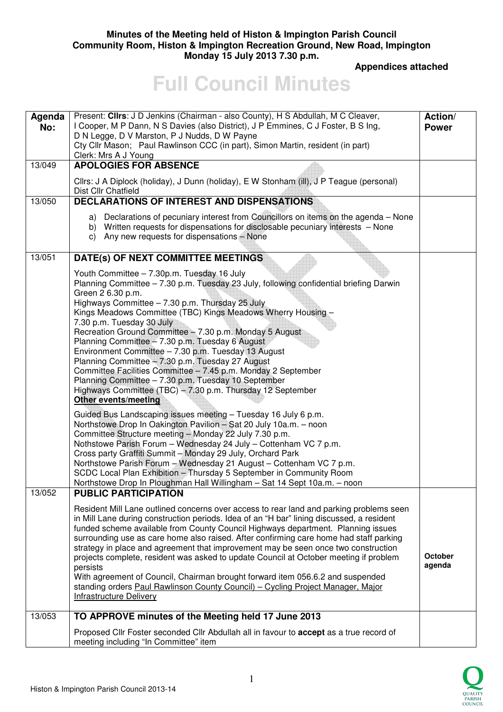### **Minutes of the Meeting held of Histon & Impington Parish Council Community Room, Histon & Impington Recreation Ground, New Road, Impington Monday 15 July 2013 7.30 p.m.**

 **Appendices attached** 

# **Full Council Minutes**

| Agenda<br>No: | Present: Clirs: J D Jenkins (Chairman - also County), H S Abdullah, M C Cleaver,<br>I Cooper, M P Dann, N S Davies (also District), J P Emmines, C J Foster, B S Ing,<br>D N Legge, D V Marston, P J Nudds, D W Payne<br>Cty Cllr Mason; Paul Rawlinson CCC (in part), Simon Martin, resident (in part)<br>Clerk: Mrs A J Young                                                                                                                                                                                                                                                                                                                                                                                                                                                                                                                                                                                                                                                                                                                                                                                                                                                                                                                                                                                      | Action/<br><b>Power</b>  |
|---------------|----------------------------------------------------------------------------------------------------------------------------------------------------------------------------------------------------------------------------------------------------------------------------------------------------------------------------------------------------------------------------------------------------------------------------------------------------------------------------------------------------------------------------------------------------------------------------------------------------------------------------------------------------------------------------------------------------------------------------------------------------------------------------------------------------------------------------------------------------------------------------------------------------------------------------------------------------------------------------------------------------------------------------------------------------------------------------------------------------------------------------------------------------------------------------------------------------------------------------------------------------------------------------------------------------------------------|--------------------------|
| 13/049        | <b>APOLOGIES FOR ABSENCE</b>                                                                                                                                                                                                                                                                                                                                                                                                                                                                                                                                                                                                                                                                                                                                                                                                                                                                                                                                                                                                                                                                                                                                                                                                                                                                                         |                          |
|               | Cllrs: J A Diplock (holiday), J Dunn (holiday), E W Stonham (ill), J P Teague (personal)<br>Dist Cllr Chatfield                                                                                                                                                                                                                                                                                                                                                                                                                                                                                                                                                                                                                                                                                                                                                                                                                                                                                                                                                                                                                                                                                                                                                                                                      |                          |
| 13/050        | <b>DECLARATIONS OF INTEREST AND DISPENSATIONS</b>                                                                                                                                                                                                                                                                                                                                                                                                                                                                                                                                                                                                                                                                                                                                                                                                                                                                                                                                                                                                                                                                                                                                                                                                                                                                    |                          |
|               | a) Declarations of pecuniary interest from Councillors on items on the agenda - None<br>b) Written requests for dispensations for disclosable pecuniary interests - None<br>c) Any new requests for dispensations - None                                                                                                                                                                                                                                                                                                                                                                                                                                                                                                                                                                                                                                                                                                                                                                                                                                                                                                                                                                                                                                                                                             |                          |
| 13/051        | DATE(s) OF NEXT COMMITTEE MEETINGS                                                                                                                                                                                                                                                                                                                                                                                                                                                                                                                                                                                                                                                                                                                                                                                                                                                                                                                                                                                                                                                                                                                                                                                                                                                                                   |                          |
|               | Youth Committee - 7.30p.m. Tuesday 16 July<br>Planning Committee - 7.30 p.m. Tuesday 23 July, following confidential briefing Darwin<br>Green 2 6.30 p.m.<br>Highways Committee - 7.30 p.m. Thursday 25 July<br>Kings Meadows Committee (TBC) Kings Meadows Wherry Housing -<br>7.30 p.m. Tuesday 30 July<br>Recreation Ground Committee - 7.30 p.m. Monday 5 August<br>Planning Committee - 7.30 p.m. Tuesday 6 August<br>Environment Committee - 7.30 p.m. Tuesday 13 August<br>Planning Committee - 7.30 p.m. Tuesday 27 August<br>Committee Facilities Committee - 7.45 p.m. Monday 2 September<br>Planning Committee - 7.30 p.m. Tuesday 10 September<br>Highways Committee (TBC) - 7.30 p.m. Thursday 12 September<br><b>Other events/meeting</b><br>Guided Bus Landscaping issues meeting - Tuesday 16 July 6 p.m.<br>Northstowe Drop In Oakington Pavilion - Sat 20 July 10a.m. - noon<br>Committee Structure meeting - Monday 22 July 7.30 p.m.<br>Nothstowe Parish Forum - Wednesday 24 July - Cottenham VC 7 p.m.<br>Cross party Graffiti Summit - Monday 29 July, Orchard Park<br>Northstowe Parish Forum - Wednesday 21 August - Cottenham VC 7 p.m.<br>SCDC Local Plan Exhibition - Thursday 5 September in Community Room<br>Northstowe Drop In Ploughman Hall Willingham - Sat 14 Sept 10a.m. - noon |                          |
| 13/052        | <b>PUBLIC PARTICIPATION</b>                                                                                                                                                                                                                                                                                                                                                                                                                                                                                                                                                                                                                                                                                                                                                                                                                                                                                                                                                                                                                                                                                                                                                                                                                                                                                          |                          |
|               | Resident Mill Lane outlined concerns over access to rear land and parking problems seen<br>in Mill Lane during construction periods. Idea of an "H bar" lining discussed, a resident<br>funded scheme available from County Council Highways department. Planning issues<br>surrounding use as care home also raised. After confirming care home had staff parking<br>strategy in place and agreement that improvement may be seen once two construction<br>projects complete, resident was asked to update Council at October meeting if problem<br>persists<br>With agreement of Council, Chairman brought forward item 056.6.2 and suspended<br>standing orders Paul Rawlinson County Council) - Cycling Project Manager, Major<br><b>Infrastructure Delivery</b>                                                                                                                                                                                                                                                                                                                                                                                                                                                                                                                                                 | <b>October</b><br>agenda |
| 13/053        | TO APPROVE minutes of the Meeting held 17 June 2013                                                                                                                                                                                                                                                                                                                                                                                                                                                                                                                                                                                                                                                                                                                                                                                                                                                                                                                                                                                                                                                                                                                                                                                                                                                                  |                          |
|               | Proposed Cllr Foster seconded Cllr Abdullah all in favour to accept as a true record of<br>meeting including "In Committee" item                                                                                                                                                                                                                                                                                                                                                                                                                                                                                                                                                                                                                                                                                                                                                                                                                                                                                                                                                                                                                                                                                                                                                                                     |                          |

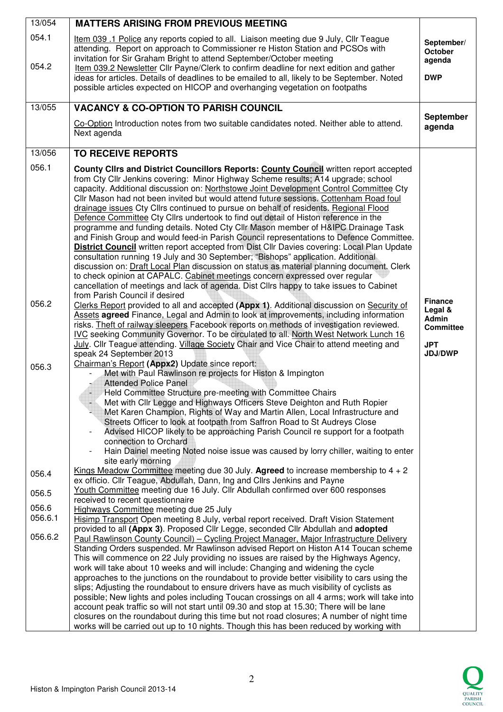| 13/054         | <b>MATTERS ARISING FROM PREVIOUS MEETING</b>                                                                                                                                                                                                                                                                                                                                                                                                                                                                                                                                                                                                                                                                                                                                                                                                                                                                                                                                                                                                                                                                                                                                                                                          |                                                                                        |
|----------------|---------------------------------------------------------------------------------------------------------------------------------------------------------------------------------------------------------------------------------------------------------------------------------------------------------------------------------------------------------------------------------------------------------------------------------------------------------------------------------------------------------------------------------------------------------------------------------------------------------------------------------------------------------------------------------------------------------------------------------------------------------------------------------------------------------------------------------------------------------------------------------------------------------------------------------------------------------------------------------------------------------------------------------------------------------------------------------------------------------------------------------------------------------------------------------------------------------------------------------------|----------------------------------------------------------------------------------------|
| 054.1<br>054.2 | Item 039 .1 Police any reports copied to all. Liaison meeting due 9 July, Cllr Teague<br>attending. Report on approach to Commissioner re Histon Station and PCSOs with<br>invitation for Sir Graham Bright to attend September/October meeting                                                                                                                                                                                                                                                                                                                                                                                                                                                                                                                                                                                                                                                                                                                                                                                                                                                                                                                                                                                       | September/<br>October<br>agenda                                                        |
|                | Item 039.2 Newsletter Cllr Payne/Clerk to confirm deadline for next edition and gather<br>ideas for articles. Details of deadlines to be emailed to all, likely to be September. Noted<br>possible articles expected on HICOP and overhanging vegetation on footpaths                                                                                                                                                                                                                                                                                                                                                                                                                                                                                                                                                                                                                                                                                                                                                                                                                                                                                                                                                                 | <b>DWP</b>                                                                             |
| 13/055         | <b>VACANCY &amp; CO-OPTION TO PARISH COUNCIL</b>                                                                                                                                                                                                                                                                                                                                                                                                                                                                                                                                                                                                                                                                                                                                                                                                                                                                                                                                                                                                                                                                                                                                                                                      | September                                                                              |
|                | Co-Option Introduction notes from two suitable candidates noted. Neither able to attend.<br>Next agenda                                                                                                                                                                                                                                                                                                                                                                                                                                                                                                                                                                                                                                                                                                                                                                                                                                                                                                                                                                                                                                                                                                                               | agenda                                                                                 |
| 13/056         | <b>TO RECEIVE REPORTS</b>                                                                                                                                                                                                                                                                                                                                                                                                                                                                                                                                                                                                                                                                                                                                                                                                                                                                                                                                                                                                                                                                                                                                                                                                             |                                                                                        |
| 056.1          | County Clirs and District Councillors Reports: County Council written report accepted<br>from Cty Cllr Jenkins covering: Minor Highway Scheme results; A14 upgrade; school<br>capacity. Additional discussion on: Northstowe Joint Development Control Committee Cty<br>Cllr Mason had not been invited but would attend future sessions. Cottenham Road foul<br>drainage issues Cty Cllrs continued to pursue on behalf of residents. Regional Flood<br>Defence Committee Cty Cllrs undertook to find out detail of Histon reference in the<br>programme and funding details. Noted Cty Cllr Mason member of H&IPC Drainage Task<br>and Finish Group and would feed-in Parish Council representations to Defence Committee.<br><b>District Council</b> written report accepted from Dist Cllr Davies covering: Local Plan Update<br>consultation running 19 July and 30 September; "Bishops" application. Additional<br>discussion on: <b>Draft Local Plan</b> discussion on status as material planning document. Clerk<br>to check opinion at CAPALC. Cabinet meetings concern expressed over regular<br>cancellation of meetings and lack of agenda. Dist Cllrs happy to take issues to Cabinet<br>from Parish Council if desired |                                                                                        |
| 056.2          | Clerks Report provided to all and accepted (Appx 1). Additional discussion on Security of<br>Assets agreed Finance, Legal and Admin to look at improvements, including information<br>risks. Theft of railway sleepers Facebook reports on methods of investigation reviewed.<br>IVC seeking Community Governor. To be circulated to all. North West Network Lunch 16<br>July. Cllr Teague attending. Village Society Chair and Vice Chair to attend meeting and<br>speak 24 September 2013                                                                                                                                                                                                                                                                                                                                                                                                                                                                                                                                                                                                                                                                                                                                           | <b>Finance</b><br>Legal &<br>Admin<br><b>Committee</b><br><b>JPT</b><br><b>JDJ/DWP</b> |
| 056.3          | Chairman's Report (Appx2) Update since report:<br>Met with Paul Rawlinson re projects for Histon & Impington<br><b>Attended Police Panel</b><br>Held Committee Structure pre-meeting with Committee Chairs<br>Met with Cllr Legge and Highways Officers Steve Deighton and Ruth Ropier<br>Met Karen Champion, Rights of Way and Martin Allen, Local Infrastructure and<br>Streets Officer to look at footpath from Saffron Road to St Audreys Close<br>Advised HICOP likely to be approaching Parish Council re support for a footpath<br>connection to Orchard<br>Hain Dainel meeting Noted noise issue was caused by lorry chiller, waiting to enter<br>site early morning                                                                                                                                                                                                                                                                                                                                                                                                                                                                                                                                                          |                                                                                        |
| 056.4          | <u>Kings Meadow Committee</u> meeting due 30 July. Agreed to increase membership to $4 + 2$<br>ex officio. Cllr Teague, Abdullah, Dann, Ing and Cllrs Jenkins and Payne                                                                                                                                                                                                                                                                                                                                                                                                                                                                                                                                                                                                                                                                                                                                                                                                                                                                                                                                                                                                                                                               |                                                                                        |
| 056.5          | Youth Committee meeting due 16 July. Cllr Abdullah confirmed over 600 responses<br>received to recent questionnaire                                                                                                                                                                                                                                                                                                                                                                                                                                                                                                                                                                                                                                                                                                                                                                                                                                                                                                                                                                                                                                                                                                                   |                                                                                        |
| 056.6          | Highways Committee meeting due 25 July                                                                                                                                                                                                                                                                                                                                                                                                                                                                                                                                                                                                                                                                                                                                                                                                                                                                                                                                                                                                                                                                                                                                                                                                |                                                                                        |
| 056.6.1        | Hisimp Transport Open meeting 8 July, verbal report received. Draft Vision Statement<br>provided to all (Appx 3). Proposed Cllr Legge, seconded Cllr Abdullah and adopted                                                                                                                                                                                                                                                                                                                                                                                                                                                                                                                                                                                                                                                                                                                                                                                                                                                                                                                                                                                                                                                             |                                                                                        |
| 056.6.2        | Paul Rawlinson County Council) - Cycling Project Manager, Major Infrastructure Delivery<br>Standing Orders suspended. Mr Rawlinson advised Report on Histon A14 Toucan scheme<br>This will commence on 22 July providing no issues are raised by the Highways Agency,<br>work will take about 10 weeks and will include: Changing and widening the cycle<br>approaches to the junctions on the roundabout to provide better visibility to cars using the<br>slips; Adjusting the roundabout to ensure drivers have as much visibility of cyclists as<br>possible; New lights and poles including Toucan crossings on all 4 arms; work will take into<br>account peak traffic so will not start until 09.30 and stop at 15.30; There will be lane<br>closures on the roundabout during this time but not road closures; A number of night time<br>works will be carried out up to 10 nights. Though this has been reduced by working with                                                                                                                                                                                                                                                                                              |                                                                                        |

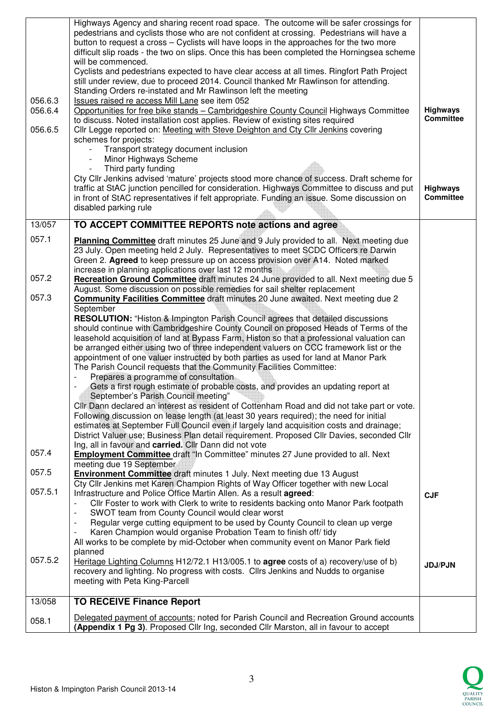|                    | Highways Agency and sharing recent road space. The outcome will be safer crossings for<br>pedestrians and cyclists those who are not confident at crossing. Pedestrians will have a<br>button to request a cross - Cyclists will have loops in the approaches for the two more<br>difficult slip roads - the two on slips. Once this has been completed the Horningsea scheme<br>will be commenced.<br>Cyclists and pedestrians expected to have clear access at all times. Ringfort Path Project                             |                                     |
|--------------------|-------------------------------------------------------------------------------------------------------------------------------------------------------------------------------------------------------------------------------------------------------------------------------------------------------------------------------------------------------------------------------------------------------------------------------------------------------------------------------------------------------------------------------|-------------------------------------|
|                    | still under review, due to proceed 2014. Council thanked Mr Rawlinson for attending.<br>Standing Orders re-instated and Mr Rawlinson left the meeting                                                                                                                                                                                                                                                                                                                                                                         |                                     |
| 056.6.3<br>056.6.4 | Issues raised re access Mill Lane see item 052<br>Opportunities for free bike stands - Cambridgeshire County Council Highways Committee<br>to discuss. Noted installation cost applies. Review of existing sites required                                                                                                                                                                                                                                                                                                     | <b>Highways</b><br><b>Committee</b> |
| 056.6.5            | Cllr Legge reported on: Meeting with Steve Deighton and Cty Cllr Jenkins covering<br>schemes for projects:                                                                                                                                                                                                                                                                                                                                                                                                                    |                                     |
|                    | Transport strategy document inclusion<br>Minor Highways Scheme<br>Third party funding                                                                                                                                                                                                                                                                                                                                                                                                                                         |                                     |
|                    | Cty Cllr Jenkins advised 'mature' projects stood more chance of success. Draft scheme for<br>traffic at StAC junction pencilled for consideration. Highways Committee to discuss and put<br>in front of StAC representatives if felt appropriate. Funding an issue. Some discussion on<br>disabled parking rule                                                                                                                                                                                                               | <b>Highways</b><br><b>Committee</b> |
| 13/057             | TO ACCEPT COMMITTEE REPORTS note actions and agree                                                                                                                                                                                                                                                                                                                                                                                                                                                                            |                                     |
|                    |                                                                                                                                                                                                                                                                                                                                                                                                                                                                                                                               |                                     |
| 057.1              | Planning Committee draft minutes 25 June and 9 July provided to all. Next meeting due<br>23 July. Open meeting held 2 July. Representatives to meet SCDC Officers re Darwin<br>Green 2. Agreed to keep pressure up on access provision over A14. Noted marked                                                                                                                                                                                                                                                                 |                                     |
| 057.2              | increase in planning applications over last 12 months<br><b>Recreation Ground Committee</b> draft minutes 24 June provided to all. Next meeting due 5                                                                                                                                                                                                                                                                                                                                                                         |                                     |
| 057.3              | August. Some discussion on possible remedies for sail shelter replacement<br>Community Facilities Committee draft minutes 20 June awaited. Next meeting due 2<br>September                                                                                                                                                                                                                                                                                                                                                    |                                     |
|                    | RESOLUTION: "Histon & Impington Parish Council agrees that detailed discussions<br>should continue with Cambridgeshire County Council on proposed Heads of Terms of the<br>leasehold acquisition of land at Bypass Farm, Histon so that a professional valuation can<br>be arranged either using two of three independent valuers on CCC framework list or the<br>appointment of one valuer instructed by both parties as used for land at Manor Park<br>The Parish Council requests that the Community Facilities Committee: |                                     |
|                    | Prepares a programme of consultation<br>Gets a first rough estimate of probable costs, and provides an updating report at<br>September's Parish Council meeting"                                                                                                                                                                                                                                                                                                                                                              |                                     |
|                    | Cllr Dann declared an interest as resident of Cottenham Road and did not take part or vote.<br>Following discussion on lease length (at least 30 years required); the need for initial<br>estimates at September Full Council even if largely land acquisition costs and drainage;<br>District Valuer use; Business Plan detail requirement. Proposed Cllr Davies, seconded Cllr                                                                                                                                              |                                     |
| 057.4              | Ing, all in favour and carried. Cllr Dann did not vote<br><b>Employment Committee</b> draft "In Committee" minutes 27 June provided to all. Next<br>meeting due 19 September                                                                                                                                                                                                                                                                                                                                                  |                                     |
| 057.5              | <b>Environment Committee</b> draft minutes 1 July. Next meeting due 13 August<br>Cty Cllr Jenkins met Karen Champion Rights of Way Officer together with new Local                                                                                                                                                                                                                                                                                                                                                            |                                     |
| 057.5.1            | Infrastructure and Police Office Martin Allen. As a result agreed:<br>CIIr Foster to work with Clerk to write to residents backing onto Manor Park footpath                                                                                                                                                                                                                                                                                                                                                                   | <b>CJF</b>                          |
|                    | SWOT team from County Council would clear worst<br>$\overline{\phantom{a}}$<br>Regular verge cutting equipment to be used by County Council to clean up verge<br>Karen Champion would organise Probation Team to finish off/ tidy<br>All works to be complete by mid-October when community event on Manor Park field                                                                                                                                                                                                         |                                     |
| 057.5.2            | planned<br>Heritage Lighting Columns H12/72.1 H13/005.1 to agree costs of a) recovery/use of b)<br>recovery and lighting. No progress with costs. Cllrs Jenkins and Nudds to organise<br>meeting with Peta King-Parcell                                                                                                                                                                                                                                                                                                       | <b>JDJ/PJN</b>                      |
| 13/058             | <b>TO RECEIVE Finance Report</b>                                                                                                                                                                                                                                                                                                                                                                                                                                                                                              |                                     |
| 058.1              | Delegated payment of accounts: noted for Parish Council and Recreation Ground accounts<br>(Appendix 1 Pg 3). Proposed Cllr Ing, seconded Cllr Marston, all in favour to accept                                                                                                                                                                                                                                                                                                                                                |                                     |

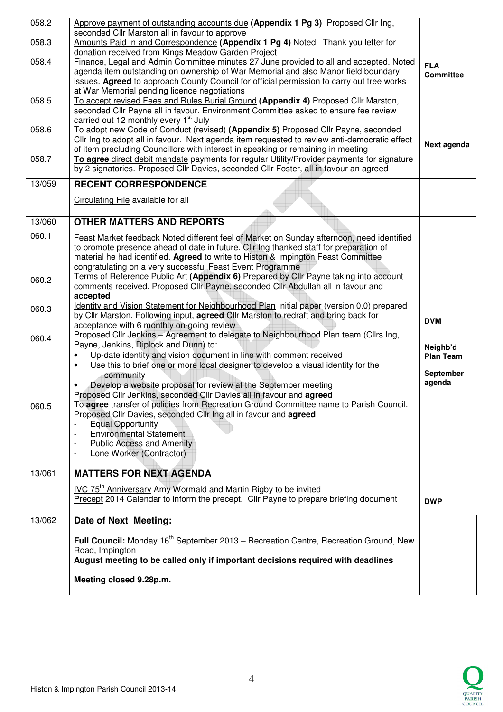| 058.2          | Approve payment of outstanding accounts due (Appendix 1 Pg 3) Proposed Cllr Ing,                                                                                                                                                                                                                                                                                    |                                |
|----------------|---------------------------------------------------------------------------------------------------------------------------------------------------------------------------------------------------------------------------------------------------------------------------------------------------------------------------------------------------------------------|--------------------------------|
| 058.3          | seconded Cllr Marston all in favour to approve<br>Amounts Paid In and Correspondence (Appendix 1 Pg 4) Noted. Thank you letter for                                                                                                                                                                                                                                  |                                |
| 058.4          | donation received from Kings Meadow Garden Project<br>Finance, Legal and Admin Committee minutes 27 June provided to all and accepted. Noted<br>agenda item outstanding on ownership of War Memorial and also Manor field boundary<br>issues. Agreed to approach County Council for official permission to carry out tree works                                     | <b>FLA</b><br><b>Committee</b> |
| 058.5          | at War Memorial pending licence negotiations<br>To accept revised Fees and Rules Burial Ground (Appendix 4) Proposed Cllr Marston,<br>seconded Cllr Payne all in favour. Environment Committee asked to ensure fee review<br>carried out 12 monthly every 1 <sup>st</sup> July                                                                                      |                                |
| 058.6<br>058.7 | To adopt new Code of Conduct (revised) (Appendix 5) Proposed Cllr Payne, seconded<br>Cllr Ing to adopt all in favour. Next agenda item requested to review anti-democratic effect<br>of item precluding Councillors with interest in speaking or remaining in meeting<br>To agree direct debit mandate payments for regular Utility/Provider payments for signature | Next agenda                    |
|                | by 2 signatories. Proposed Cllr Davies, seconded Cllr Foster, all in favour an agreed                                                                                                                                                                                                                                                                               |                                |
| 13/059         | <b>RECENT CORRESPONDENCE</b>                                                                                                                                                                                                                                                                                                                                        |                                |
|                | Circulating File available for all                                                                                                                                                                                                                                                                                                                                  |                                |
| 13/060         | <b>OTHER MATTERS AND REPORTS</b>                                                                                                                                                                                                                                                                                                                                    |                                |
| 060.1          | Feast Market feedback Noted different feel of Market on Sunday afternoon, need identified<br>to promote presence ahead of date in future. Cllr Ing thanked staff for preparation of<br>material he had identified. Agreed to write to Histon & Impington Feast Committee<br>congratulating on a very successful Feast Event Programme                               |                                |
| 060.2          | Terms of Reference Public Art (Appendix 6) Prepared by Cllr Payne taking into account<br>comments received. Proposed Cllr Payne, seconded Cllr Abdullah all in favour and<br>accepted                                                                                                                                                                               |                                |
| 060.3          | Identity and Vision Statement for Neighbourhood Plan Initial paper (version 0.0) prepared<br>by Cllr Marston. Following input, agreed Cllr Marston to redraft and bring back for<br>acceptance with 6 monthly on-going review                                                                                                                                       | <b>DVM</b>                     |
| 060.4          | Proposed Cllr Jenkins - Agreement to delegate to Neighbourhood Plan team (Cllrs Ing,<br>Payne, Jenkins, Diplock and Dunn) to:<br>Up-date identity and vision document in line with comment received<br>$\bullet$<br>Use this to brief one or more local designer to develop a visual identity for the<br>$\bullet$                                                  | Neighb'd<br><b>Plan Team</b>   |
|                | community<br>Develop a website proposal for review at the September meeting<br>$\bullet$<br>Proposed Cllr Jenkins, seconded Cllr Davies all in favour and agreed                                                                                                                                                                                                    | <b>September</b><br>agenda     |
| 060.5          | To agree transfer of policies from Recreation Ground Committee name to Parish Council.<br>Proposed Cllr Davies, seconded Cllr Ing all in favour and agreed<br><b>Equal Opportunity</b><br><b>Environmental Statement</b><br><b>Public Access and Amenity</b><br>Lone Worker (Contractor)<br>÷,                                                                      |                                |
| 13/061         | <b>MATTERS FOR NEXT AGENDA</b>                                                                                                                                                                                                                                                                                                                                      |                                |
|                | IVC 75 <sup>th</sup> Anniversary Amy Wormald and Martin Rigby to be invited<br>Precept 2014 Calendar to inform the precept. Cllr Payne to prepare briefing document                                                                                                                                                                                                 | <b>DWP</b>                     |
| 13/062         | Date of Next Meeting:                                                                                                                                                                                                                                                                                                                                               |                                |
|                | Full Council: Monday 16 <sup>th</sup> September 2013 – Recreation Centre, Recreation Ground, New<br>Road, Impington                                                                                                                                                                                                                                                 |                                |
|                | August meeting to be called only if important decisions required with deadlines                                                                                                                                                                                                                                                                                     |                                |
|                | Meeting closed 9.28p.m.                                                                                                                                                                                                                                                                                                                                             |                                |
|                |                                                                                                                                                                                                                                                                                                                                                                     |                                |

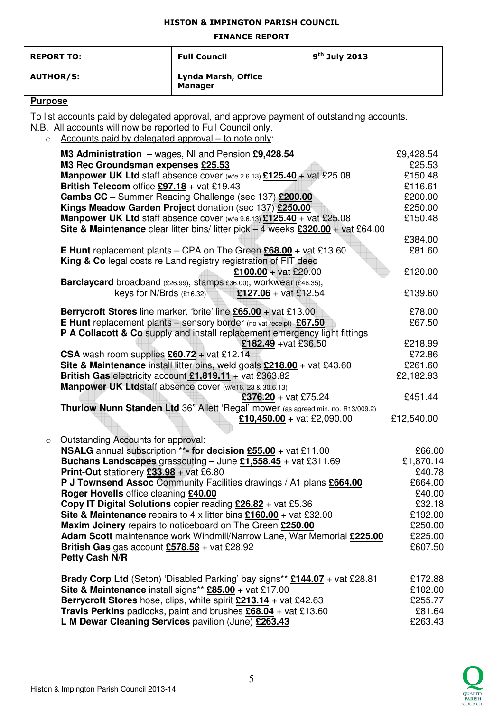#### HISTON & IMPINGTON PARISH COUNCIL

#### FINANCE REPORT

| <b>REPORT TO:</b> | <b>Full Council</b>                   | $9th$ July 2013 |
|-------------------|---------------------------------------|-----------------|
| <b>AUTHOR/S:</b>  | Lynda Marsh, Office<br><b>Manager</b> |                 |

## **Purpose**

To list accounts paid by delegated approval, and approve payment of outstanding accounts. N.B. All accounts will now be reported to Full Council only.

o Accounts paid by delegated approval – to note only:

|         | M3 Administration $-$ wages, NI and Pension $£9,428.54$                                    | £9,428.54  |
|---------|--------------------------------------------------------------------------------------------|------------|
|         | M3 Rec Groundsman expenses £25.53                                                          | £25.53     |
|         | Manpower UK Ltd staff absence cover (w/e 2.6.13) £125.40 + vat £25.08                      | £150.48    |
|         | British Telecom office $£97.18 + \text{vat } £19.43$                                       | £116.61    |
|         | <b>Cambs CC</b> - Summer Reading Challenge (sec 137) £200.00                               | £200.00    |
|         | Kings Meadow Garden Project donation (sec 137) £250.00                                     | £250.00    |
|         | <b>Manpower UK Ltd</b> staff absence cover (w/e 9.6.13) $£125.40 +$ vat £25.08             | £150.48    |
|         | Site & Maintenance clear litter bins/ litter pick $-4$ weeks $£320.00 + \text{vat £64.00}$ |            |
|         |                                                                                            | £384.00    |
|         | <b>E Hunt</b> replacement plants – CPA on The Green $£68.00 +$ vat £13.60                  | £81.60     |
|         | King & Co legal costs re Land registry registration of FIT deed                            |            |
|         | £100.00 + vat £20.00                                                                       | £120.00    |
|         | Barclaycard broadband (£26.99), stamps £36.00), workwear (£46.35),                         |            |
|         | keys for N/Brds $(E16.32)$<br><b>£127.06</b> + vat £12.54                                  | £139.60    |
|         |                                                                                            |            |
|         | Berrycroft Stores line marker, 'brite' line £65.00 + vat £13.00                            | £78.00     |
|         | <b>E Hunt</b> replacement plants - sensory border (no vat receipt) £67.50                  | £67.50     |
|         | P A Collacott & Co supply and install replacement emergency light fittings                 |            |
|         | £182.49 + vat £36.50                                                                       | £218.99    |
|         | CSA wash room supplies $£60.72 + \text{vat } £12.14$                                       | £72.86     |
|         | Site & Maintenance install litter bins, weld goals $£218.00 +$ vat £43.60                  | £261.60    |
|         | British Gas electricity account $£1,819.11 +$ vat £363.82                                  | £2,182.93  |
|         | Manpower UK Ltdstaff absence cover (w/e16, 23 & 30.6.13)                                   |            |
|         | $£376.20 + vat £75.24$                                                                     | £451.44    |
|         | Thurlow Nunn Standen Ltd 36" Allett 'Regal' mower (as agreed min. no. R13/009.2)           |            |
|         | £10,450.00 + vat £2,090.00                                                                 | £12,540.00 |
|         |                                                                                            |            |
| $\circ$ | Outstanding Accounts for approval:                                                         |            |
|         | <b>NSALG</b> annual subscription **- for decision $£55.00 +$ vat £11.00                    | £66.00     |
|         | <b>Buchans Landscapes</b> grasscuting – June $£1,558.45 +$ vat £311.69                     | £1,870.14  |
|         | <b>Print-Out</b> stationery $£33.98 + \text{vat } £6.80$                                   | £40.78     |
|         | P J Townsend Assoc Community Facilities drawings / A1 plans £664.00                        | £664.00    |
|         | Roger Hovells office cleaning £40.00                                                       | £40.00     |
|         | Copy IT Digital Solutions copier reading £26.82 + vat £5.36                                | £32.18     |
|         | Site & Maintenance repairs to 4 x litter bins $£160.00 +$ vat £32.00                       | £192.00    |
|         | Maxim Joinery repairs to noticeboard on The Green £250.00                                  | £250.00    |
|         | Adam Scott maintenance work Windmill/Narrow Lane, War Memorial £225.00                     | £225.00    |
|         | British Gas gas account $£578.58 +$ vat £28.92                                             | £607.50    |
|         | Petty Cash N/R                                                                             |            |
|         | Brady Corp Ltd (Seton) 'Disabled Parking' bay signs** £144.07 + vat £28.81                 | £172.88    |
|         | Site & Maintenance install signs** £85.00 + vat £17.00                                     | £102.00    |
|         |                                                                                            | £255.77    |
|         | Travis Perkins padlocks, paint and brushes £68.04 + vat £13.60                             | £81.64     |
|         | L M Dewar Cleaning Services pavilion (June) £263.43                                        | £263.43    |
|         |                                                                                            |            |